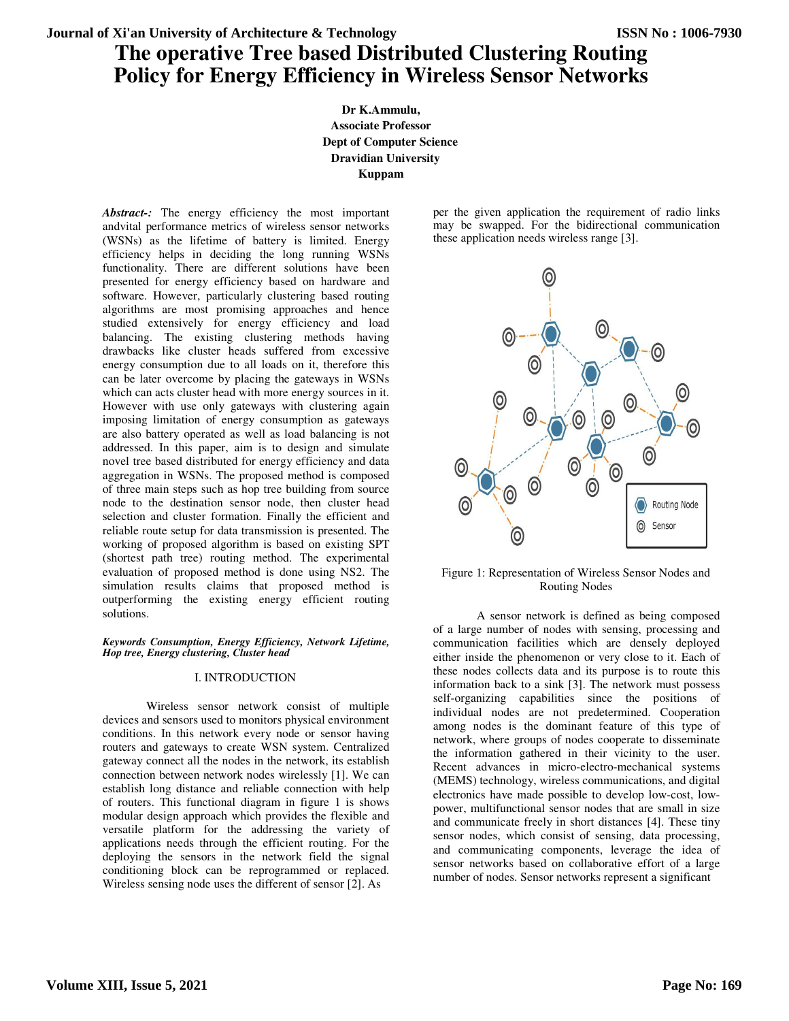# **The operative Tree based Distributed Clustering Routing Policy for Energy Efficiency in Wireless Sensor Networks**

**Dr K.Ammulu, Associate Professor Dept of Computer Science Dravidian University Kuppam** 

Abstract-: The energy efficiency the most important andvital performance metrics of wireless sensor networks (WSNs) as the lifetime of battery is limited. Energy efficiency helps in deciding the long running WSNs functionality. There are different solutions have been presented for energy efficiency based on hardware and software. However, particularly clustering based routing algorithms are most promising approaches and hence studied extensively for energy efficiency and load balancing. The existing clustering methods having drawbacks like cluster heads suffered from excessive energy consumption due to all loads on it, therefore this can be later overcome by placing the gateways in WSNs which can acts cluster head with more energy sources in it. However with use only gateways with clustering again imposing limitation of energy consumption as gateways are also battery operated as well as load balancing is not addressed. In this paper, aim is to design and simulate novel tree based distributed for energy efficiency and data aggregation in WSNs. The proposed method is composed of three main steps such as hop tree building from source node to the destination sensor node, then cluster head selection and cluster formation. Finally the efficient and reliable route setup for data transmission is presented. The working of proposed algorithm is based on existing SPT (shortest path tree) routing method. The experimental evaluation of proposed method is done using NS2. The simulation results claims that proposed method is outperforming the existing energy efficient routing solutions.

#### *Keywords Consumption, Energy Efficiency, Network Lifetime, Hop tree, Energy clustering, Cluster head*

### I. INTRODUCTION

Wireless sensor network consist of multiple devices and sensors used to monitors physical environment conditions. In this network every node or sensor having routers and gateways to create WSN system. Centralized gateway connect all the nodes in the network, its establish connection between network nodes wirelessly [1]. We can establish long distance and reliable connection with help of routers. This functional diagram in figure 1 is shows modular design approach which provides the flexible and versatile platform for the addressing the variety of applications needs through the efficient routing. For the deploying the sensors in the network field the signal conditioning block can be reprogrammed or replaced. Wireless sensing node uses the different of sensor [2]. As

per the given application the requirement of radio links may be swapped. For the bidirectional communication these application needs wireless range [3].



Figure 1: Representation of Wireless Sensor Nodes and Routing Nodes

A sensor network is defined as being composed of a large number of nodes with sensing, processing and communication facilities which are densely deployed either inside the phenomenon or very close to it. Each of these nodes collects data and its purpose is to route this information back to a sink [3]. The network must possess self-organizing capabilities since the positions of individual nodes are not predetermined. Cooperation among nodes is the dominant feature of this type of network, where groups of nodes cooperate to disseminate the information gathered in their vicinity to the user. Recent advances in micro-electro-mechanical systems (MEMS) technology, wireless communications, and digital electronics have made possible to develop low-cost, lowpower, multifunctional sensor nodes that are small in size and communicate freely in short distances [4]. These tiny sensor nodes, which consist of sensing, data processing, and communicating components, leverage the idea of sensor networks based on collaborative effort of a large number of nodes. Sensor networks represent a significant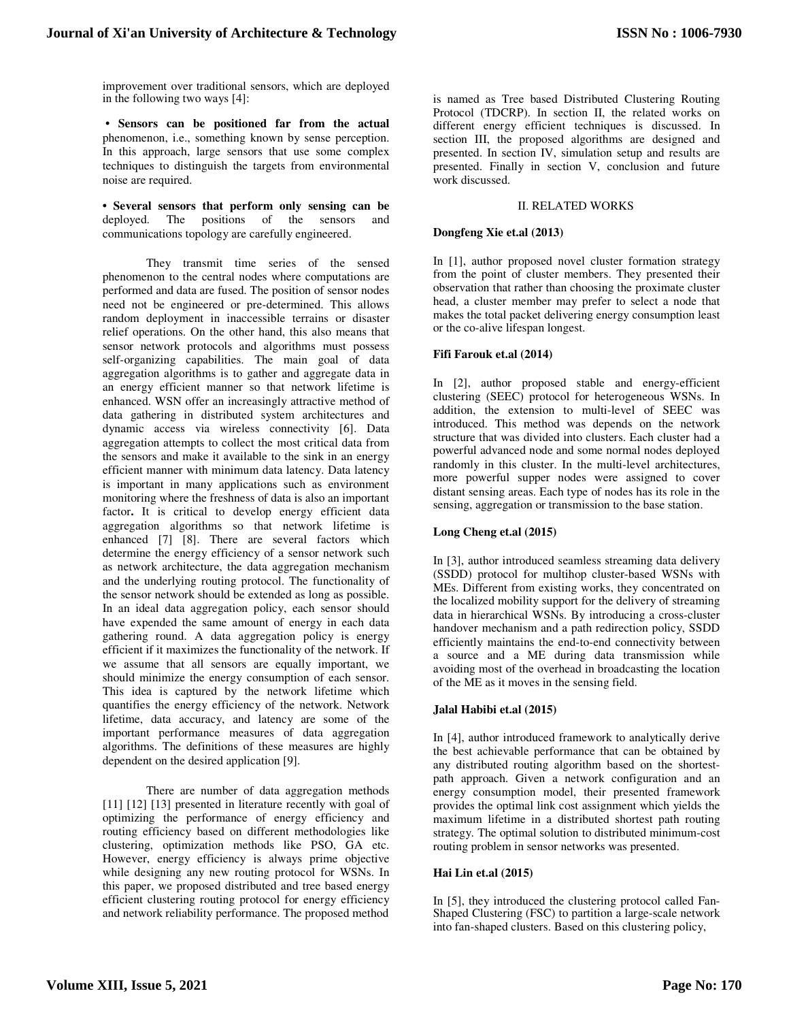improvement over traditional sensors, which are deployed in the following two ways [4]:

**• Sensors can be positioned far from the actual**  phenomenon, i.e., something known by sense perception. In this approach, large sensors that use some complex techniques to distinguish the targets from environmental noise are required.

**• Several sensors that perform only sensing can be**  deployed. The positions of the sensors and communications topology are carefully engineered.

They transmit time series of the sensed phenomenon to the central nodes where computations are performed and data are fused. The position of sensor nodes need not be engineered or pre-determined. This allows random deployment in inaccessible terrains or disaster relief operations. On the other hand, this also means that sensor network protocols and algorithms must possess self-organizing capabilities. The main goal of data aggregation algorithms is to gather and aggregate data in an energy efficient manner so that network lifetime is enhanced. WSN offer an increasingly attractive method of data gathering in distributed system architectures and dynamic access via wireless connectivity [6]. Data aggregation attempts to collect the most critical data from the sensors and make it available to the sink in an energy efficient manner with minimum data latency. Data latency is important in many applications such as environment monitoring where the freshness of data is also an important factor. It is critical to develop energy efficient data aggregation algorithms so that network lifetime is enhanced [7] [8]. There are several factors which determine the energy efficiency of a sensor network such as network architecture, the data aggregation mechanism and the underlying routing protocol. The functionality of the sensor network should be extended as long as possible. In an ideal data aggregation policy, each sensor should have expended the same amount of energy in each data gathering round. A data aggregation policy is energy efficient if it maximizes the functionality of the network. If we assume that all sensors are equally important, we should minimize the energy consumption of each sensor. This idea is captured by the network lifetime which quantifies the energy efficiency of the network. Network lifetime, data accuracy, and latency are some of the important performance measures of data aggregation algorithms. The definitions of these measures are highly dependent on the desired application [9].

There are number of data aggregation methods [11] [12] [13] presented in literature recently with goal of optimizing the performance of energy efficiency and routing efficiency based on different methodologies like clustering, optimization methods like PSO, GA etc. However, energy efficiency is always prime objective while designing any new routing protocol for WSNs. In this paper, we proposed distributed and tree based energy efficient clustering routing protocol for energy efficiency and network reliability performance. The proposed method

is named as Tree based Distributed Clustering Routing Protocol (TDCRP). In section II, the related works on different energy efficient techniques is discussed. In section III, the proposed algorithms are designed and presented. In section IV, simulation setup and results are presented. Finally in section V, conclusion and future work discussed.

# II. RELATED WORKS

## **Dongfeng Xie et.al (2013)**

In [1], author proposed novel cluster formation strategy from the point of cluster members. They presented their observation that rather than choosing the proximate cluster head, a cluster member may prefer to select a node that makes the total packet delivering energy consumption least or the co-alive lifespan longest.

## **Fifi Farouk et.al (2014)**

In [2], author proposed stable and energy-efficient clustering (SEEC) protocol for heterogeneous WSNs. In addition, the extension to multi-level of SEEC was introduced. This method was depends on the network structure that was divided into clusters. Each cluster had a powerful advanced node and some normal nodes deployed randomly in this cluster. In the multi-level architectures, more powerful supper nodes were assigned to cover distant sensing areas. Each type of nodes has its role in the sensing, aggregation or transmission to the base station.

### **Long Cheng et.al (2015)**

In [3], author introduced seamless streaming data delivery (SSDD) protocol for multihop cluster-based WSNs with MEs. Different from existing works, they concentrated on the localized mobility support for the delivery of streaming data in hierarchical WSNs. By introducing a cross-cluster handover mechanism and a path redirection policy, SSDD efficiently maintains the end-to-end connectivity between a source and a ME during data transmission while avoiding most of the overhead in broadcasting the location of the ME as it moves in the sensing field.

# **Jalal Habibi et.al (2015)**

In [4], author introduced framework to analytically derive the best achievable performance that can be obtained by any distributed routing algorithm based on the shortestpath approach. Given a network configuration and an energy consumption model, their presented framework provides the optimal link cost assignment which yields the maximum lifetime in a distributed shortest path routing strategy. The optimal solution to distributed minimum-cost routing problem in sensor networks was presented.

### **Hai Lin et.al (2015)**

In [5], they introduced the clustering protocol called Fan-Shaped Clustering (FSC) to partition a large-scale network into fan-shaped clusters. Based on this clustering policy,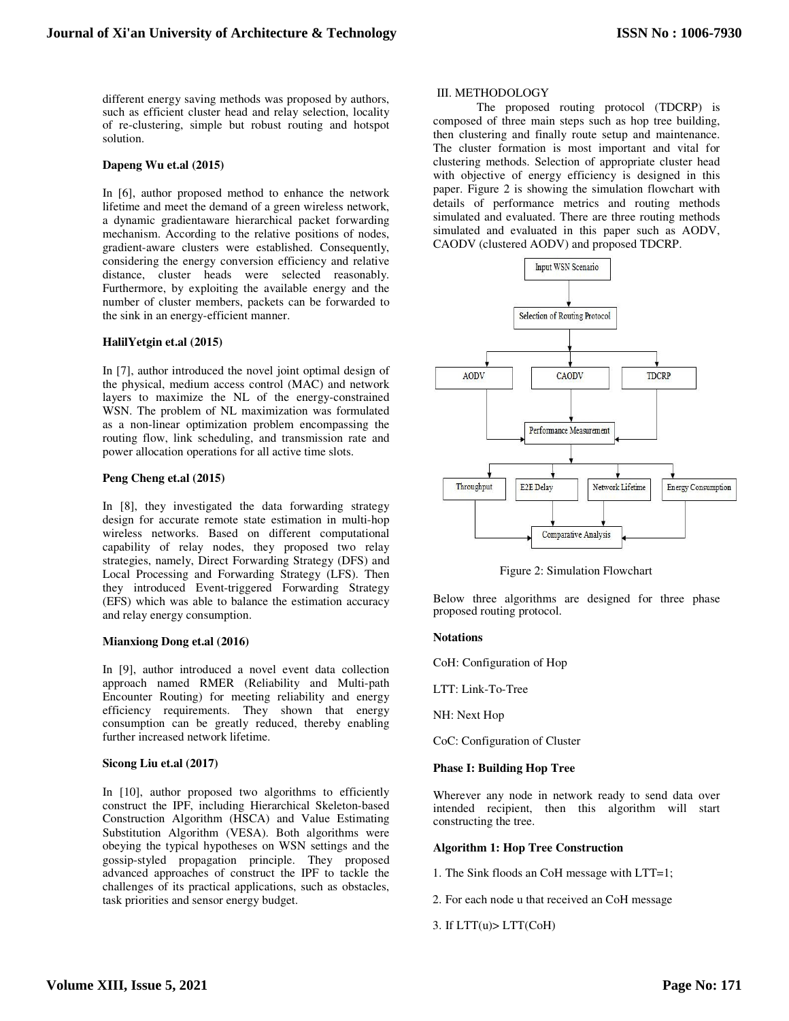different energy saving methods was proposed by authors, such as efficient cluster head and relay selection, locality of re-clustering, simple but robust routing and hotspot solution.

## **Dapeng Wu et.al (2015)**

In [6], author proposed method to enhance the network lifetime and meet the demand of a green wireless network, a dynamic gradientaware hierarchical packet forwarding mechanism. According to the relative positions of nodes, gradient-aware clusters were established. Consequently, considering the energy conversion efficiency and relative distance, cluster heads were selected reasonably. Furthermore, by exploiting the available energy and the number of cluster members, packets can be forwarded to the sink in an energy-efficient manner.

## **HalilYetgin et.al (2015)**

In [7], author introduced the novel joint optimal design of the physical, medium access control (MAC) and network layers to maximize the NL of the energy-constrained WSN. The problem of NL maximization was formulated as a non-linear optimization problem encompassing the routing flow, link scheduling, and transmission rate and power allocation operations for all active time slots.

## **Peng Cheng et.al (2015)**

In [8], they investigated the data forwarding strategy design for accurate remote state estimation in multi-hop wireless networks. Based on different computational capability of relay nodes, they proposed two relay strategies, namely, Direct Forwarding Strategy (DFS) and Local Processing and Forwarding Strategy (LFS). Then they introduced Event-triggered Forwarding Strategy (EFS) which was able to balance the estimation accuracy and relay energy consumption.

### **Mianxiong Dong et.al (2016)**

In [9], author introduced a novel event data collection approach named RMER (Reliability and Multi-path Encounter Routing) for meeting reliability and energy efficiency requirements. They shown that energy consumption can be greatly reduced, thereby enabling further increased network lifetime.

# **Sicong Liu et.al (2017)**

In [10], author proposed two algorithms to efficiently construct the IPF, including Hierarchical Skeleton-based Construction Algorithm (HSCA) and Value Estimating Substitution Algorithm (VESA). Both algorithms were obeying the typical hypotheses on WSN settings and the gossip-styled propagation principle. They proposed advanced approaches of construct the IPF to tackle the challenges of its practical applications, such as obstacles, task priorities and sensor energy budget.

## III. METHODOLOGY

The proposed routing protocol (TDCRP) is composed of three main steps such as hop tree building, then clustering and finally route setup and maintenance. The cluster formation is most important and vital for clustering methods. Selection of appropriate cluster head with objective of energy efficiency is designed in this paper. Figure 2 is showing the simulation flowchart with details of performance metrics and routing methods simulated and evaluated. There are three routing methods simulated and evaluated in this paper such as AODV, CAODV (clustered AODV) and proposed TDCRP.



Figure 2: Simulation Flowchart

Below three algorithms are designed for three phase proposed routing protocol.

## **Notations**

CoH: Configuration of Hop

LTT: Link-To-Tree

NH: Next Hop

CoC: Configuration of Cluster

# **Phase I: Building Hop Tree**

Wherever any node in network ready to send data over intended recipient, then this algorithm will start constructing the tree.

# **Algorithm 1: Hop Tree Construction**

- 1. The Sink floods an CoH message with LTT=1;
- 2. For each node u that received an CoH message
- 3. If  $LTT(u) > LTT(CoH)$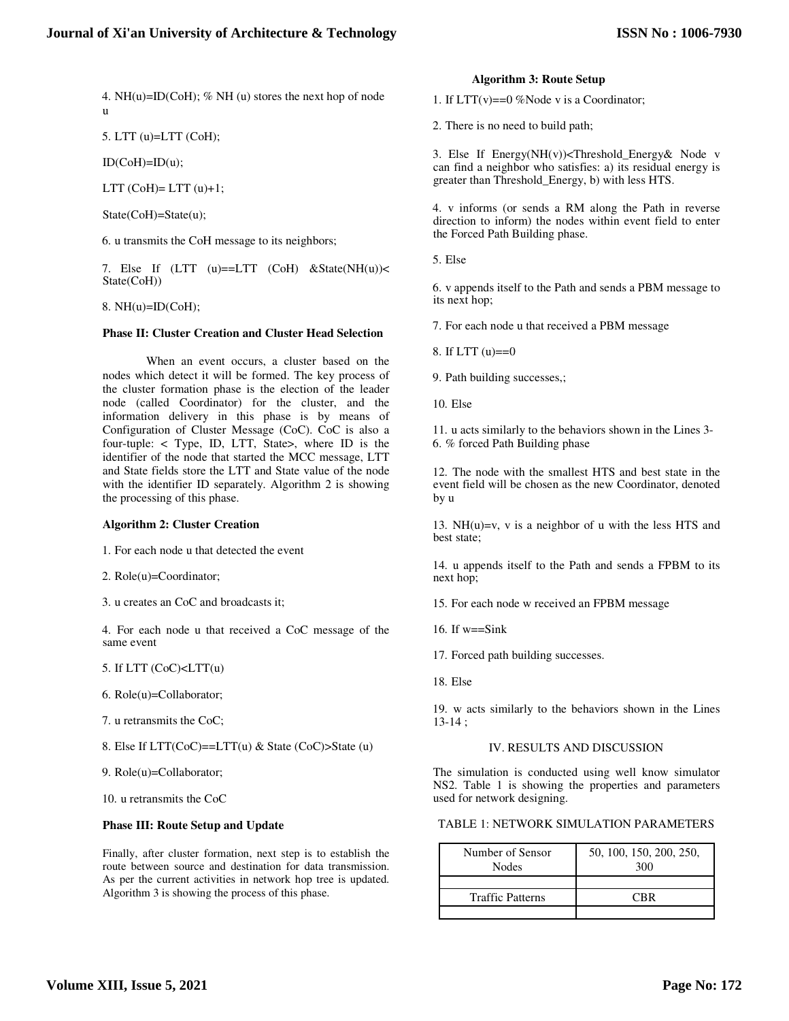4. NH(u)=ID(CoH); % NH (u) stores the next hop of node u

5. LTT (u)=LTT (CoH);

 $ID(CoH)=ID(u);$ 

LTT  $(CoH)= LTT (u)+1;$ 

State(CoH)=State(u);

6. u transmits the CoH message to its neighbors;

7. Else If  $(LTT (u) = LTT (CoH) & State(NH(u)) <$ State(CoH))

8.  $NH(u)=ID(CoH)$ ;

## **Phase II: Cluster Creation and Cluster Head Selection**

When an event occurs, a cluster based on the nodes which detect it will be formed. The key process of the cluster formation phase is the election of the leader node (called Coordinator) for the cluster, and the information delivery in this phase is by means of Configuration of Cluster Message (CoC). CoC is also a four-tuple: < Type, ID, LTT, State>, where ID is the identifier of the node that started the MCC message, LTT and State fields store the LTT and State value of the node with the identifier ID separately. Algorithm 2 is showing the processing of this phase.

### **Algorithm 2: Cluster Creation**

1. For each node u that detected the event

2. Role(u)=Coordinator;

3. u creates an CoC and broadcasts it;

4. For each node u that received a CoC message of the same event

5. If LTT (CoC)<LTT(u)

6. Role(u)=Collaborator;

7. u retransmits the CoC;

8. Else If  $LTTCoC$ )==LTT(u) & State (CoC)>State (u)

9. Role(u)=Collaborator;

10. u retransmits the CoC

### **Phase III: Route Setup and Update**

Finally, after cluster formation, next step is to establish the route between source and destination for data transmission. As per the current activities in network hop tree is updated. Algorithm 3 is showing the process of this phase.

#### **Algorithm 3: Route Setup**

1. If  $LTT(v) = 0$  %Node v is a Coordinator;

2. There is no need to build path;

3. Else If Energy(NH(v))<Threshold\_Energy& Node v can find a neighbor who satisfies: a) its residual energy is greater than Threshold\_Energy, b) with less HTS.

4. v informs (or sends a RM along the Path in reverse direction to inform) the nodes within event field to enter the Forced Path Building phase.

5. Else

6. v appends itself to the Path and sends a PBM message to its next hop;

7. For each node u that received a PBM message

8. If LTT (u)==0

9. Path building successes,;

10. Else

11. u acts similarly to the behaviors shown in the Lines 3- 6. % forced Path Building phase

12. The node with the smallest HTS and best state in the event field will be chosen as the new Coordinator, denoted by u

13.  $NH(u)=v$ , v is a neighbor of u with the less HTS and best state;

14. u appends itself to the Path and sends a FPBM to its next hop;

15. For each node w received an FPBM message

16. If w==Sink

17. Forced path building successes.

18. Else

19. w acts similarly to the behaviors shown in the Lines 13-14 ;

# IV. RESULTS AND DISCUSSION

The simulation is conducted using well know simulator NS2. Table 1 is showing the properties and parameters used for network designing.

TABLE 1: NETWORK SIMULATION PARAMETERS

| Number of Sensor<br><b>Nodes</b> | 50, 100, 150, 200, 250,<br>300 |
|----------------------------------|--------------------------------|
|                                  |                                |
| <b>Traffic Patterns</b>          | CRR                            |
|                                  |                                |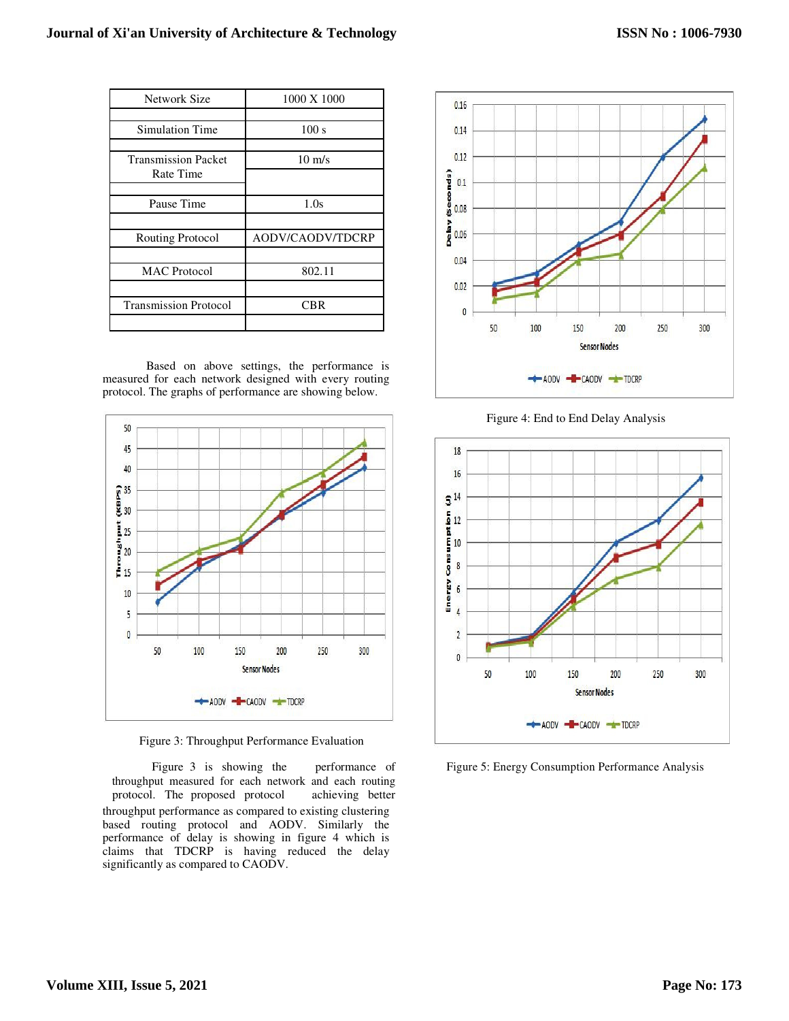| Network Size                            | 1000 X 1000      |
|-----------------------------------------|------------------|
|                                         |                  |
| Simulation Time                         | 100 s            |
|                                         |                  |
| <b>Transmission Packet</b><br>Rate Time | $10 \text{ m/s}$ |
|                                         |                  |
| Pause Time                              | 1.0s             |
|                                         |                  |
| <b>Routing Protocol</b>                 | AODV/CAODV/TDCRP |
|                                         |                  |
| <b>MAC</b> Protocol                     | 802.11           |
|                                         |                  |
| <b>Transmission Protocol</b>            | <b>CBR</b>       |
|                                         |                  |

Based on above settings, the performance is measured for each network designed with every routing protocol. The graphs of performance are showing below.



Figure 3: Throughput Performance Evaluation

throughput measured for each network and each routing protocol. The proposed protocol achieving better throughput performance as compared to existing clustering based routing protocol and AODV. Similarly the performance of delay is showing in figure 4 which is claims that TDCRP is having reduced the delay significantly as compared to CAODV.



Figure 4: End to End Delay Analysis



Figure 3 is showing the performance of Figure 5: Energy Consumption Performance Analysis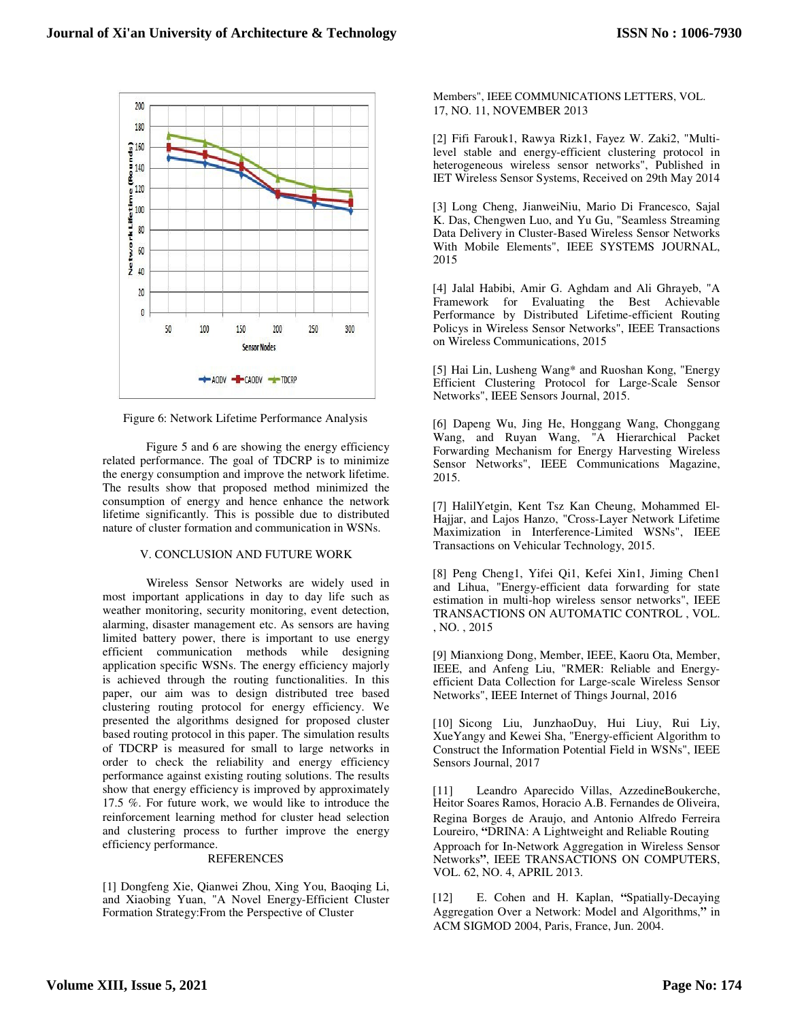

Figure 6: Network Lifetime Performance Analysis

Figure 5 and 6 are showing the energy efficiency related performance. The goal of TDCRP is to minimize the energy consumption and improve the network lifetime. The results show that proposed method minimized the consumption of energy and hence enhance the network lifetime significantly. This is possible due to distributed nature of cluster formation and communication in WSNs.

# V. CONCLUSION AND FUTURE WORK

Wireless Sensor Networks are widely used in most important applications in day to day life such as weather monitoring, security monitoring, event detection, alarming, disaster management etc. As sensors are having limited battery power, there is important to use energy efficient communication methods while designing application specific WSNs. The energy efficiency majorly is achieved through the routing functionalities. In this paper, our aim was to design distributed tree based clustering routing protocol for energy efficiency. We presented the algorithms designed for proposed cluster based routing protocol in this paper. The simulation results of TDCRP is measured for small to large networks in order to check the reliability and energy efficiency performance against existing routing solutions. The results show that energy efficiency is improved by approximately 17.5 %. For future work, we would like to introduce the reinforcement learning method for cluster head selection and clustering process to further improve the energy efficiency performance.

# REFERENCES

[1] Dongfeng Xie, Qianwei Zhou, Xing You, Baoqing Li, and Xiaobing Yuan, "A Novel Energy-Efficient Cluster Formation Strategy:From the Perspective of Cluster

Members", IEEE COMMUNICATIONS LETTERS, VOL. 17, NO. 11, NOVEMBER 2013

[2] Fifi Farouk1, Rawya Rizk1, Fayez W. Zaki2, "Multilevel stable and energy-efficient clustering protocol in heterogeneous wireless sensor networks", Published in IET Wireless Sensor Systems, Received on 29th May 2014

[3] Long Cheng, JianweiNiu, Mario Di Francesco, Sajal K. Das, Chengwen Luo, and Yu Gu, "Seamless Streaming Data Delivery in Cluster-Based Wireless Sensor Networks With Mobile Elements", IEEE SYSTEMS JOURNAL, 2015

[4] Jalal Habibi, Amir G. Aghdam and Ali Ghrayeb, "A Framework for Evaluating the Best Achievable Performance by Distributed Lifetime-efficient Routing Policys in Wireless Sensor Networks", IEEE Transactions on Wireless Communications, 2015

[5] Hai Lin, Lusheng Wang\* and Ruoshan Kong, "Energy Efficient Clustering Protocol for Large-Scale Sensor Networks", IEEE Sensors Journal, 2015.

[6] Dapeng Wu, Jing He, Honggang Wang, Chonggang Wang, and Ruyan Wang, "A Hierarchical Packet Forwarding Mechanism for Energy Harvesting Wireless Sensor Networks", IEEE Communications Magazine, 2015.

[7] HalilYetgin, Kent Tsz Kan Cheung, Mohammed El-Hajjar, and Lajos Hanzo, "Cross-Layer Network Lifetime Maximization in Interference-Limited WSNs", IEEE Transactions on Vehicular Technology, 2015.

[8] Peng Cheng1, Yifei Qi1, Kefei Xin1, Jiming Chen1 and Lihua, "Energy-efficient data forwarding for state estimation in multi-hop wireless sensor networks", IEEE TRANSACTIONS ON AUTOMATIC CONTROL , VOL. , NO. , 2015

[9] Mianxiong Dong, Member, IEEE, Kaoru Ota, Member, IEEE, and Anfeng Liu, "RMER: Reliable and Energyefficient Data Collection for Large-scale Wireless Sensor Networks", IEEE Internet of Things Journal, 2016

[10] Sicong Liu, JunzhaoDuy, Hui Liuy, Rui Liy, XueYangy and Kewei Sha, "Energy-efficient Algorithm to Construct the Information Potential Field in WSNs", IEEE Sensors Journal, 2017

[11] Leandro Aparecido Villas, AzzedineBoukerche, Heitor Soares Ramos, Horacio A.B. Fernandes de Oliveira, Regina Borges de Araujo, and Antonio Alfredo Ferreira Loureiro, **"**DRINA: A Lightweight and Reliable Routing Approach for In-Network Aggregation in Wireless Sensor Networks**"**, IEEE TRANSACTIONS ON COMPUTERS, VOL. 62, NO. 4, APRIL 2013.

[12] E. Cohen and H. Kaplan, **"**Spatially-Decaying Aggregation Over a Network: Model and Algorithms,**"** in ACM SIGMOD 2004, Paris, France, Jun. 2004.